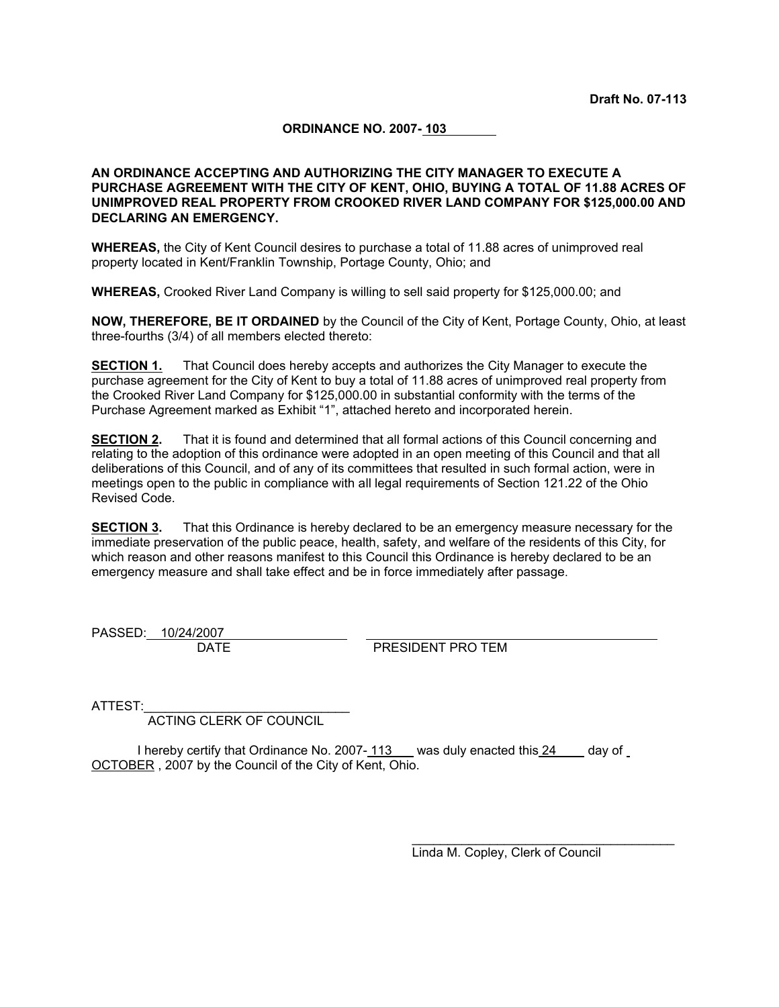#### **ORDINANCE NO. 2007- 103**

#### **AN ORDINANCE ACCEPTING AND AUTHORIZING THE CITY MANAGER TO EXECUTE A PURCHASE AGREEMENT WITH THE CITY OF KENT, OHIO, BUYING A TOTAL OF 11.88 ACRES OF UNIMPROVED REAL PROPERTY FROM CROOKED RIVER LAND COMPANY FOR \$125,000.00 AND DECLARING AN EMERGENCY.**

**WHEREAS,** the City of Kent Council desires to purchase a total of 11.88 acres of unimproved real property located in Kent/Franklin Township, Portage County, Ohio; and

**WHEREAS,** Crooked River Land Company is willing to sell said property for \$125,000.00; and

**NOW, THEREFORE, BE IT ORDAINED** by the Council of the City of Kent, Portage County, Ohio, at least three-fourths (3/4) of all members elected thereto:

**SECTION 1.** That Council does hereby accepts and authorizes the City Manager to execute the purchase agreement for the City of Kent to buy a total of 11.88 acres of unimproved real property from the Crooked River Land Company for \$125,000.00 in substantial conformity with the terms of the Purchase Agreement marked as Exhibit "1", attached hereto and incorporated herein.

**SECTION 2.** That it is found and determined that all formal actions of this Council concerning and relating to the adoption of this ordinance were adopted in an open meeting of this Council and that all deliberations of this Council, and of any of its committees that resulted in such formal action, were in meetings open to the public in compliance with all legal requirements of Section 121.22 of the Ohio Revised Code.

**SECTION 3.** That this Ordinance is hereby declared to be an emergency measure necessary for the immediate preservation of the public peace, health, safety, and welfare of the residents of this City, for which reason and other reasons manifest to this Council this Ordinance is hereby declared to be an emergency measure and shall take effect and be in force immediately after passage.

PASSED: 10/24/2007

DATE PRESIDENT PRO TEM

ATTEST:

ACTING CLERK OF COUNCIL

I hereby certify that Ordinance No. 2007- 113 was duly enacted this 24 day of OCTOBER , 2007 by the Council of the City of Kent, Ohio.

Linda M. Copley, Clerk of Council

\_\_\_\_\_\_\_\_\_\_\_\_\_\_\_\_\_\_\_\_\_\_\_\_\_\_\_\_\_\_\_\_\_\_\_\_\_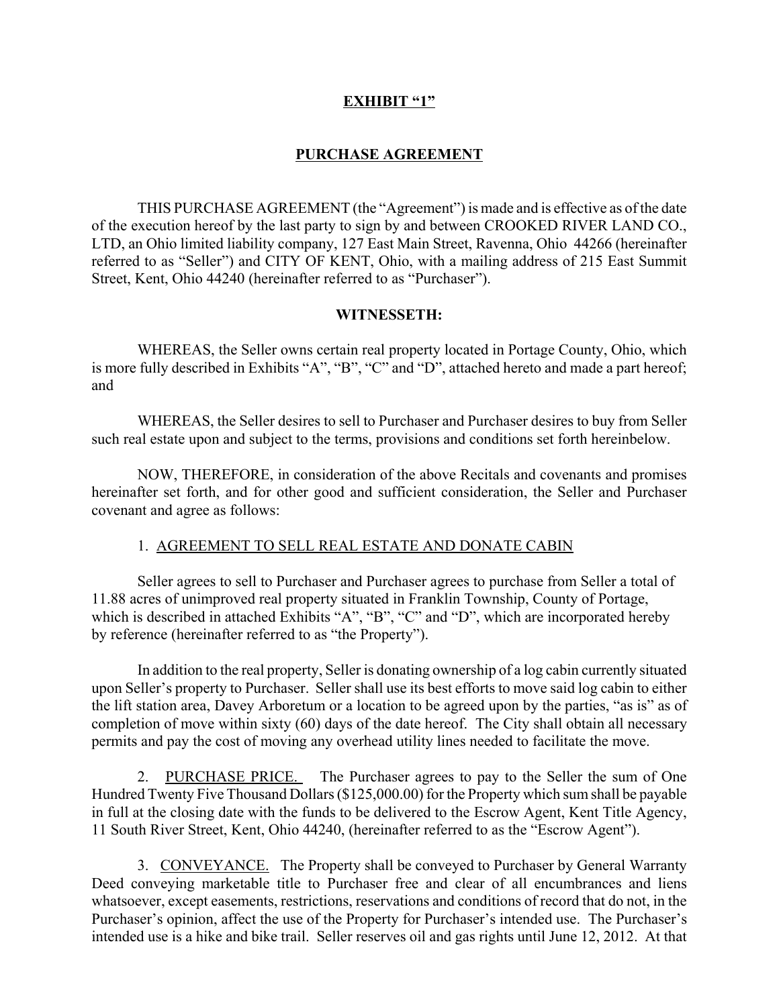## **EXHIBIT "1"**

# **PURCHASE AGREEMENT**

THIS PURCHASE AGREEMENT (the "Agreement") is made and is effective as of the date of the execution hereof by the last party to sign by and between CROOKED RIVER LAND CO., LTD, an Ohio limited liability company, 127 East Main Street, Ravenna, Ohio 44266 (hereinafter referred to as "Seller") and CITY OF KENT, Ohio, with a mailing address of 215 East Summit Street, Kent, Ohio 44240 (hereinafter referred to as "Purchaser").

### **WITNESSETH:**

WHEREAS, the Seller owns certain real property located in Portage County, Ohio, which is more fully described in Exhibits "A", "B", "C" and "D", attached hereto and made a part hereof; and

WHEREAS, the Seller desires to sell to Purchaser and Purchaser desires to buy from Seller such real estate upon and subject to the terms, provisions and conditions set forth hereinbelow.

NOW, THEREFORE, in consideration of the above Recitals and covenants and promises hereinafter set forth, and for other good and sufficient consideration, the Seller and Purchaser covenant and agree as follows:

## 1. AGREEMENT TO SELL REAL ESTATE AND DONATE CABIN

Seller agrees to sell to Purchaser and Purchaser agrees to purchase from Seller a total of 11.88 acres of unimproved real property situated in Franklin Township, County of Portage, which is described in attached Exhibits "A", "B", "C" and "D", which are incorporated hereby by reference (hereinafter referred to as "the Property").

In addition to the real property, Seller is donating ownership of a log cabin currently situated upon Seller's property to Purchaser. Seller shall use its best efforts to move said log cabin to either the lift station area, Davey Arboretum or a location to be agreed upon by the parties, "as is" as of completion of move within sixty (60) days of the date hereof. The City shall obtain all necessary permits and pay the cost of moving any overhead utility lines needed to facilitate the move.

2. PURCHASE PRICE. The Purchaser agrees to pay to the Seller the sum of One Hundred Twenty Five Thousand Dollars (\$125,000.00) for the Property which sum shall be payable in full at the closing date with the funds to be delivered to the Escrow Agent, Kent Title Agency, 11 South River Street, Kent, Ohio 44240, (hereinafter referred to as the "Escrow Agent").

3. CONVEYANCE. The Property shall be conveyed to Purchaser by General Warranty Deed conveying marketable title to Purchaser free and clear of all encumbrances and liens whatsoever, except easements, restrictions, reservations and conditions of record that do not, in the Purchaser's opinion, affect the use of the Property for Purchaser's intended use. The Purchaser's intended use is a hike and bike trail. Seller reserves oil and gas rights until June 12, 2012. At that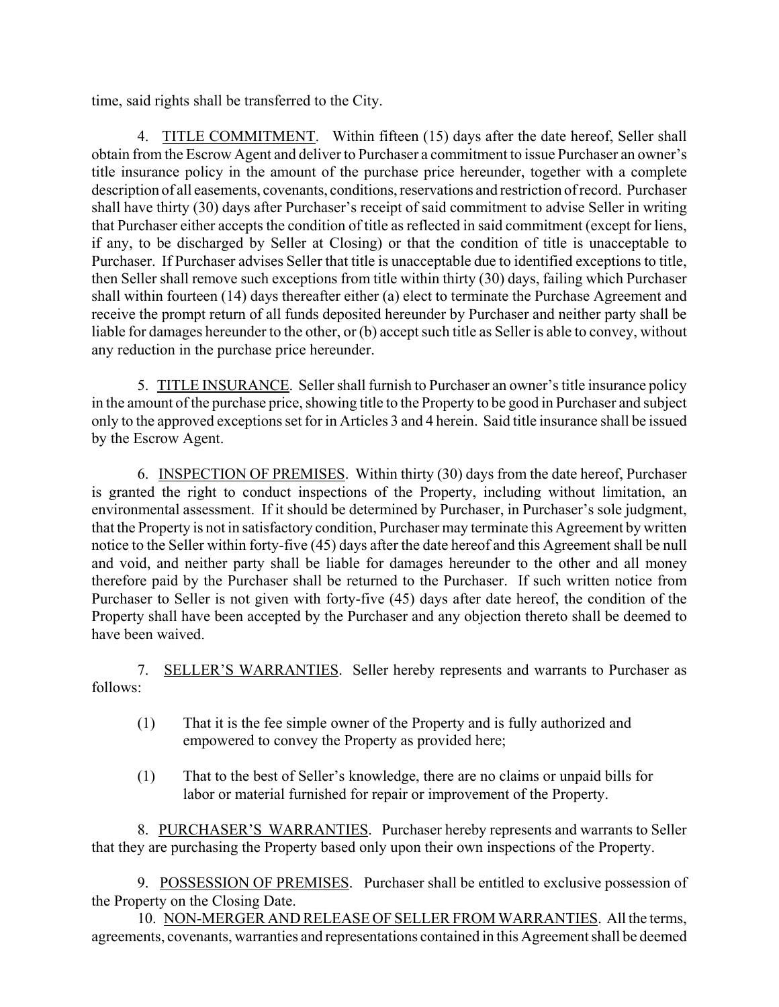time, said rights shall be transferred to the City.

4. TITLE COMMITMENT. Within fifteen (15) days after the date hereof, Seller shall obtain from the Escrow Agent and deliver to Purchaser a commitment to issue Purchaser an owner's title insurance policy in the amount of the purchase price hereunder, together with a complete description of all easements, covenants, conditions, reservations and restriction of record. Purchaser shall have thirty (30) days after Purchaser's receipt of said commitment to advise Seller in writing that Purchaser either accepts the condition of title as reflected in said commitment (except for liens, if any, to be discharged by Seller at Closing) or that the condition of title is unacceptable to Purchaser. If Purchaser advises Seller that title is unacceptable due to identified exceptions to title, then Seller shall remove such exceptions from title within thirty (30) days, failing which Purchaser shall within fourteen (14) days thereafter either (a) elect to terminate the Purchase Agreement and receive the prompt return of all funds deposited hereunder by Purchaser and neither party shall be liable for damages hereunder to the other, or (b) accept such title as Seller is able to convey, without any reduction in the purchase price hereunder.

5. TITLE INSURANCE. Seller shall furnish to Purchaser an owner's title insurance policy in the amount of the purchase price, showing title to the Property to be good in Purchaser and subject only to the approved exceptions set for in Articles 3 and 4 herein. Said title insurance shall be issued by the Escrow Agent.

6. INSPECTION OF PREMISES. Within thirty (30) days from the date hereof, Purchaser is granted the right to conduct inspections of the Property, including without limitation, an environmental assessment. If it should be determined by Purchaser, in Purchaser's sole judgment, that the Property is not in satisfactory condition, Purchaser may terminate this Agreement by written notice to the Seller within forty-five (45) days after the date hereof and this Agreement shall be null and void, and neither party shall be liable for damages hereunder to the other and all money therefore paid by the Purchaser shall be returned to the Purchaser. If such written notice from Purchaser to Seller is not given with forty-five (45) days after date hereof, the condition of the Property shall have been accepted by the Purchaser and any objection thereto shall be deemed to have been waived.

7. SELLER'S WARRANTIES. Seller hereby represents and warrants to Purchaser as follows:

- (1) That it is the fee simple owner of the Property and is fully authorized and empowered to convey the Property as provided here;
- (1) That to the best of Seller's knowledge, there are no claims or unpaid bills for labor or material furnished for repair or improvement of the Property.

8. PURCHASER'S WARRANTIES. Purchaser hereby represents and warrants to Seller that they are purchasing the Property based only upon their own inspections of the Property.

9. POSSESSION OF PREMISES. Purchaser shall be entitled to exclusive possession of the Property on the Closing Date.

10. NON-MERGER AND RELEASE OF SELLER FROM WARRANTIES. All the terms, agreements, covenants, warranties and representations contained in this Agreement shall be deemed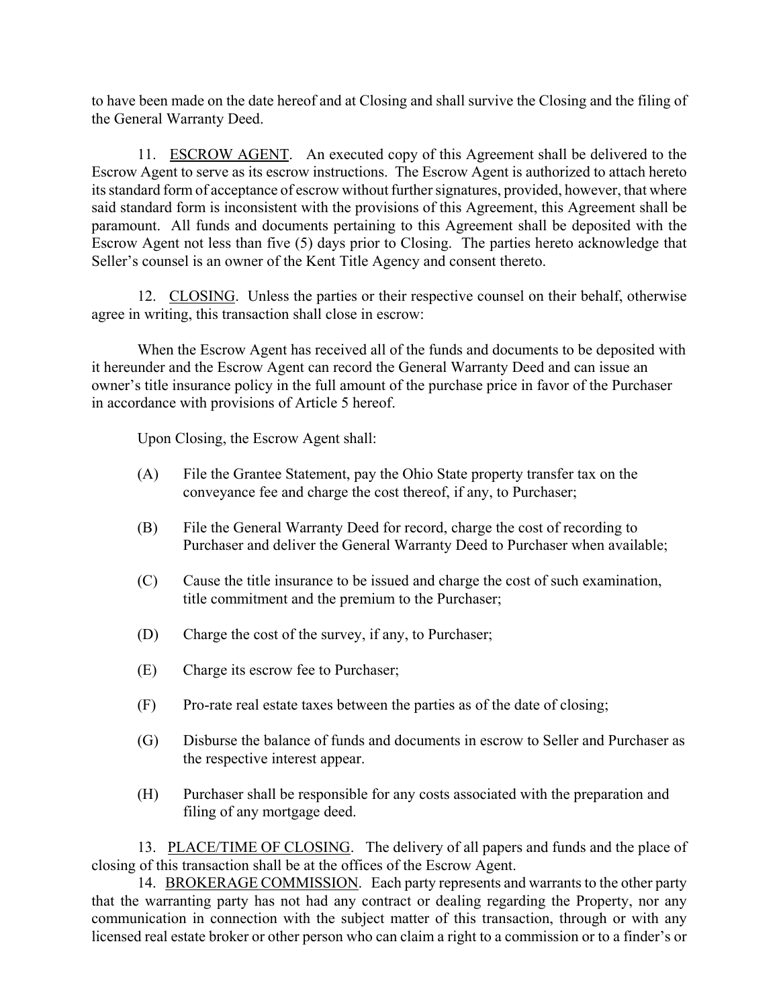to have been made on the date hereof and at Closing and shall survive the Closing and the filing of the General Warranty Deed.

11. ESCROW AGENT. An executed copy of this Agreement shall be delivered to the Escrow Agent to serve as its escrow instructions. The Escrow Agent is authorized to attach hereto its standard form of acceptance of escrow without further signatures, provided, however, that where said standard form is inconsistent with the provisions of this Agreement, this Agreement shall be paramount. All funds and documents pertaining to this Agreement shall be deposited with the Escrow Agent not less than five (5) days prior to Closing. The parties hereto acknowledge that Seller's counsel is an owner of the Kent Title Agency and consent thereto.

12. CLOSING. Unless the parties or their respective counsel on their behalf, otherwise agree in writing, this transaction shall close in escrow:

When the Escrow Agent has received all of the funds and documents to be deposited with it hereunder and the Escrow Agent can record the General Warranty Deed and can issue an owner's title insurance policy in the full amount of the purchase price in favor of the Purchaser in accordance with provisions of Article 5 hereof.

Upon Closing, the Escrow Agent shall:

- (A) File the Grantee Statement, pay the Ohio State property transfer tax on the conveyance fee and charge the cost thereof, if any, to Purchaser;
- (B) File the General Warranty Deed for record, charge the cost of recording to Purchaser and deliver the General Warranty Deed to Purchaser when available;
- (C) Cause the title insurance to be issued and charge the cost of such examination, title commitment and the premium to the Purchaser;
- (D) Charge the cost of the survey, if any, to Purchaser;
- (E) Charge its escrow fee to Purchaser;
- (F) Pro-rate real estate taxes between the parties as of the date of closing;
- (G) Disburse the balance of funds and documents in escrow to Seller and Purchaser as the respective interest appear.
- (H) Purchaser shall be responsible for any costs associated with the preparation and filing of any mortgage deed.

13. PLACE/TIME OF CLOSING. The delivery of all papers and funds and the place of closing of this transaction shall be at the offices of the Escrow Agent.

14. BROKERAGE COMMISSION. Each party represents and warrants to the other party that the warranting party has not had any contract or dealing regarding the Property, nor any communication in connection with the subject matter of this transaction, through or with any licensed real estate broker or other person who can claim a right to a commission or to a finder's or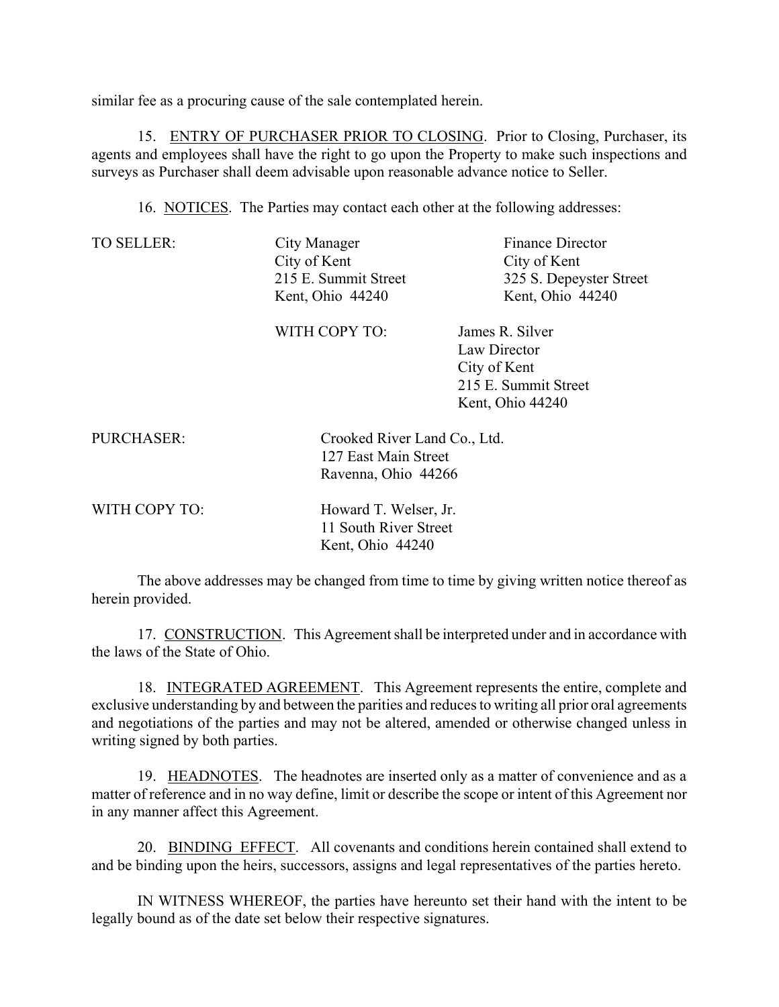similar fee as a procuring cause of the sale contemplated herein.

15. ENTRY OF PURCHASER PRIOR TO CLOSING. Prior to Closing, Purchaser, its agents and employees shall have the right to go upon the Property to make such inspections and surveys as Purchaser shall deem advisable upon reasonable advance notice to Seller.

16. NOTICES. The Parties may contact each other at the following addresses:

TO SELLER: City Manager Finance Director City of Kent City of Kent

215 E. Summit Street 325 S. Depeyster Street Kent, Ohio 44240 Kent, Ohio 44240

WITH COPY TO: James R. Silver Law Director City of Kent 215 E. Summit Street Kent, Ohio 44240

PURCHASER: Crooked River Land Co., Ltd. 127 East Main Street Ravenna, Ohio 44266

WITH COPY TO: Howard T. Welser, Jr. 11 South River Street Kent, Ohio 44240

The above addresses may be changed from time to time by giving written notice thereof as herein provided.

17. CONSTRUCTION. This Agreement shall be interpreted under and in accordance with the laws of the State of Ohio.

18. INTEGRATED AGREEMENT. This Agreement represents the entire, complete and exclusive understanding by and between the parities and reduces to writing all prior oral agreements and negotiations of the parties and may not be altered, amended or otherwise changed unless in writing signed by both parties.

19. HEADNOTES. The headnotes are inserted only as a matter of convenience and as a matter of reference and in no way define, limit or describe the scope or intent of this Agreement nor in any manner affect this Agreement.

20. BINDING EFFECT. All covenants and conditions herein contained shall extend to and be binding upon the heirs, successors, assigns and legal representatives of the parties hereto.

IN WITNESS WHEREOF, the parties have hereunto set their hand with the intent to be legally bound as of the date set below their respective signatures.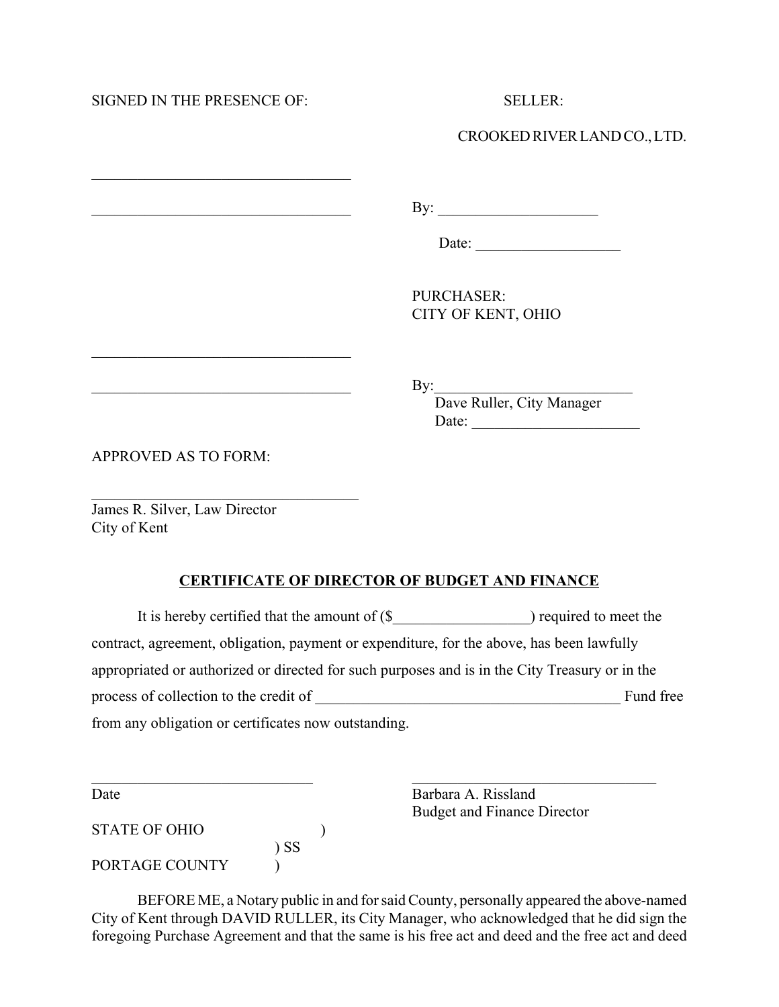SIGNED IN THE PRESENCE OF SELLER

 $\mathcal{L}_\text{max}$  , where  $\mathcal{L}_\text{max}$  and  $\mathcal{L}_\text{max}$  and  $\mathcal{L}_\text{max}$ 

 $\mathcal{L}_\text{max}$  , where  $\mathcal{L}_\text{max}$  and  $\mathcal{L}_\text{max}$  and  $\mathcal{L}_\text{max}$ 

 $\mathcal{L}_\text{max}$  , where  $\mathcal{L}_\text{max}$  and  $\mathcal{L}_\text{max}$  and  $\mathcal{L}_\text{max}$ 

CROOKED RIVER LAND CO., LTD.

 $\mathbf{By:}$ 

Date: \_\_\_\_\_\_\_\_\_\_\_\_\_\_\_\_\_\_\_

PURCHASER: CITY OF KENT, OHIO

 $\exists$  By:

Dave Ruller, City Manager Date: \_\_\_\_\_\_\_\_\_\_\_\_\_\_\_\_\_\_\_\_\_\_

APPROVED AS TO FORM:

James R. Silver, Law Director City of Kent

### **CERTIFICATE OF DIRECTOR OF BUDGET AND FINANCE**

It is hereby certified that the amount of (\$  $\blacksquare$ ) required to meet the contract, agreement, obligation, payment or expenditure, for the above, has been lawfully appropriated or authorized or directed for such purposes and is in the City Treasury or in the process of collection to the credit of \_\_\_\_\_\_\_\_\_\_\_\_\_\_\_\_\_\_\_\_\_\_\_\_\_\_\_\_\_\_\_\_\_\_\_\_\_\_\_\_ Fund free from any obligation or certificates now outstanding.

 $\mathcal{L}_\text{max}$  , and the contribution of the contribution of the contribution of the contribution of the contribution of the contribution of the contribution of the contribution of the contribution of the contribution of t

STATE OF OHIO (1) ) SS PORTAGE COUNTY  $\qquad$ 

Date Barbara A. Rissland Budget and Finance Director

BEFORE ME, a Notary public in and for said County, personally appeared the above-named City of Kent through DAVID RULLER, its City Manager, who acknowledged that he did sign the foregoing Purchase Agreement and that the same is his free act and deed and the free act and deed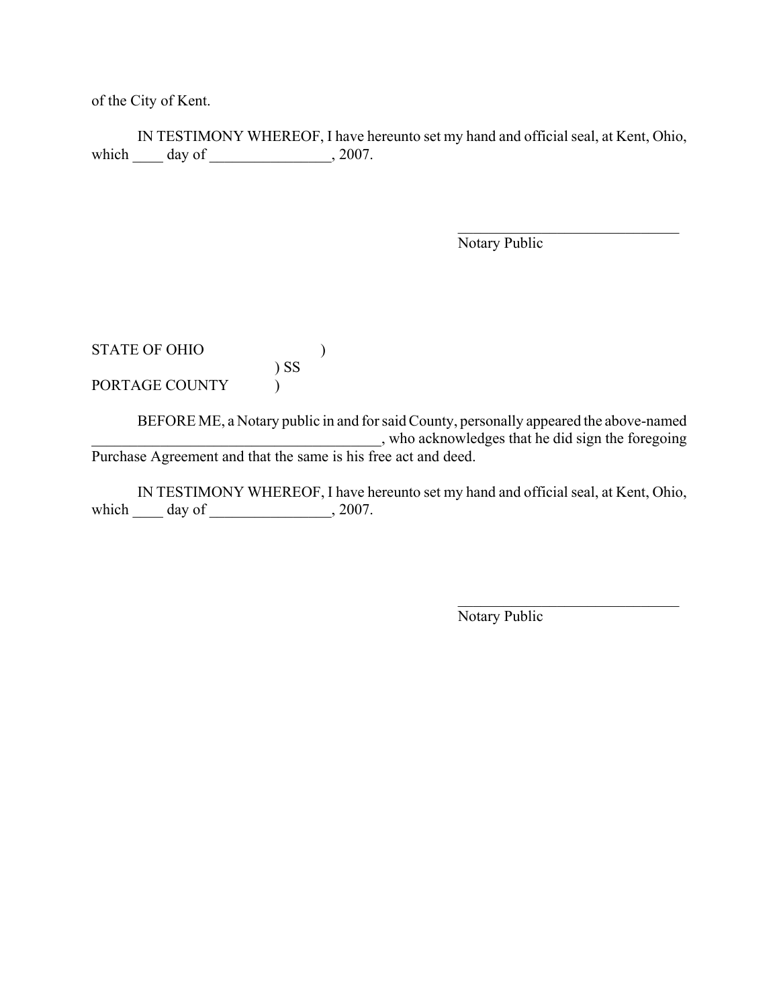of the City of Kent.

IN TESTIMONY WHEREOF, I have hereunto set my hand and official seal, at Kent, Ohio, which  $\qquad \qquad$  day of  $\qquad \qquad$  2007.

Notary Public

 $\mathcal{L}_\text{max}$  , where  $\mathcal{L}_\text{max}$  , we have the set of  $\mathcal{L}_\text{max}$ 

STATE OF OHIO )  $\big)$  SS  $\big)$ PORTAGE COUNTY  $\qquad$  )

BEFORE ME, a Notary public in and for said County, personally appeared the above-named \_\_\_\_\_\_\_\_\_\_\_\_\_\_\_\_\_\_\_\_\_\_\_\_\_\_\_\_\_\_\_\_\_\_\_\_\_\_, who acknowledges that he did sign the foregoing Purchase Agreement and that the same is his free act and deed.

IN TESTIMONY WHEREOF, I have hereunto set my hand and official seal, at Kent, Ohio, which \_\_\_\_\_ day of \_\_\_\_\_\_\_\_\_\_\_\_\_\_\_, 2007.

Notary Public

 $\mathcal{L}_\text{max}$  , where  $\mathcal{L}_\text{max}$  , we have the set of  $\mathcal{L}_\text{max}$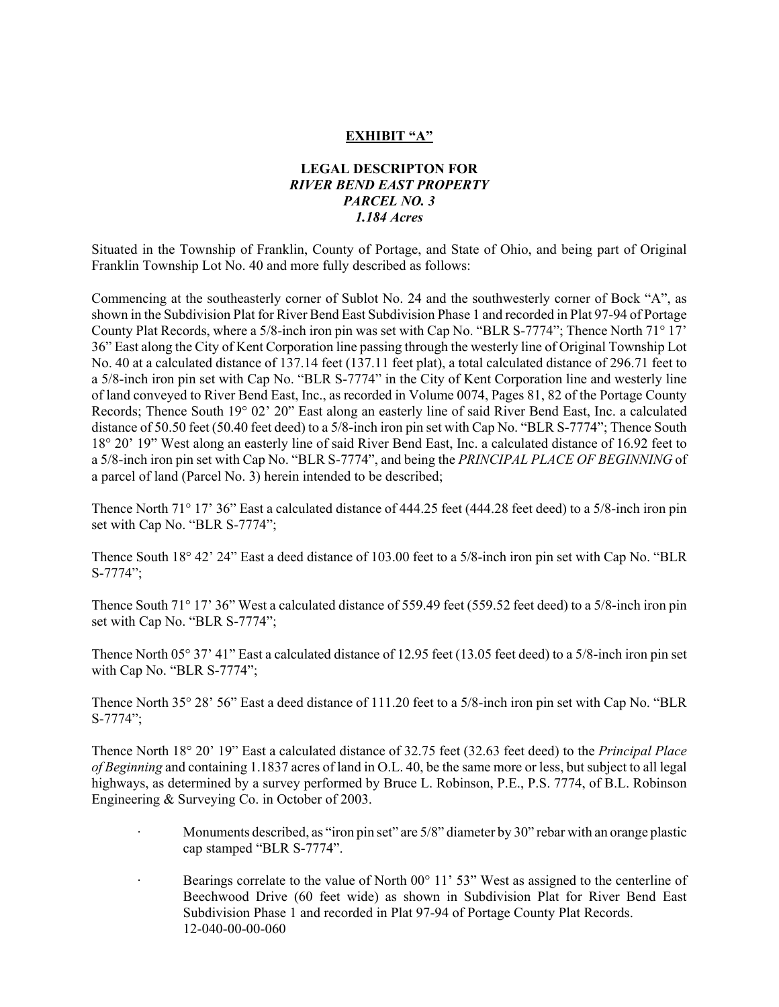### **EXHIBIT "A"**

### **LEGAL DESCRIPTON FOR** *RIVER BEND EAST PROPERTY PARCEL NO. 3 1.184 Acres*

Situated in the Township of Franklin, County of Portage, and State of Ohio, and being part of Original Franklin Township Lot No. 40 and more fully described as follows:

Commencing at the southeasterly corner of Sublot No. 24 and the southwesterly corner of Bock "A", as shown in the Subdivision Plat for River Bend East Subdivision Phase 1 and recorded in Plat 97-94 of Portage County Plat Records, where a 5/8-inch iron pin was set with Cap No. "BLR S-7774"; Thence North 71° 17' 36" East along the City of Kent Corporation line passing through the westerly line of Original Township Lot No. 40 at a calculated distance of 137.14 feet (137.11 feet plat), a total calculated distance of 296.71 feet to a 5/8-inch iron pin set with Cap No. "BLR S-7774" in the City of Kent Corporation line and westerly line of land conveyed to River Bend East, Inc., as recorded in Volume 0074, Pages 81, 82 of the Portage County Records; Thence South 19° 02' 20" East along an easterly line of said River Bend East, Inc. a calculated distance of 50.50 feet (50.40 feet deed) to a 5/8-inch iron pin set with Cap No. "BLR S-7774"; Thence South 18° 20' 19" West along an easterly line of said River Bend East, Inc. a calculated distance of 16.92 feet to a 5/8-inch iron pin set with Cap No. "BLR S-7774", and being the *PRINCIPAL PLACE OF BEGINNING* of a parcel of land (Parcel No. 3) herein intended to be described;

Thence North 71° 17' 36" East a calculated distance of 444.25 feet (444.28 feet deed) to a 5/8-inch iron pin set with Cap No. "BLR S-7774";

Thence South 18° 42' 24" East a deed distance of 103.00 feet to a 5/8-inch iron pin set with Cap No. "BLR S-7774";

Thence South 71° 17' 36" West a calculated distance of 559.49 feet (559.52 feet deed) to a 5/8-inch iron pin set with Cap No. "BLR S-7774";

Thence North 05° 37' 41" East a calculated distance of 12.95 feet (13.05 feet deed) to a 5/8-inch iron pin set with Cap No. "BLR S-7774";

Thence North 35° 28' 56" East a deed distance of 111.20 feet to a 5/8-inch iron pin set with Cap No. "BLR S-7774";

Thence North 18° 20' 19" East a calculated distance of 32.75 feet (32.63 feet deed) to the *Principal Place of Beginning* and containing 1.1837 acres of land in O.L. 40, be the same more or less, but subject to all legal highways, as determined by a survey performed by Bruce L. Robinson, P.E., P.S. 7774, of B.L. Robinson Engineering & Surveying Co. in October of 2003.

- Monuments described, as "iron pin set" are 5/8" diameter by 30" rebar with an orange plastic cap stamped "BLR S-7774".
- Bearings correlate to the value of North 00° 11' 53" West as assigned to the centerline of Beechwood Drive (60 feet wide) as shown in Subdivision Plat for River Bend East Subdivision Phase 1 and recorded in Plat 97-94 of Portage County Plat Records. 12-040-00-00-060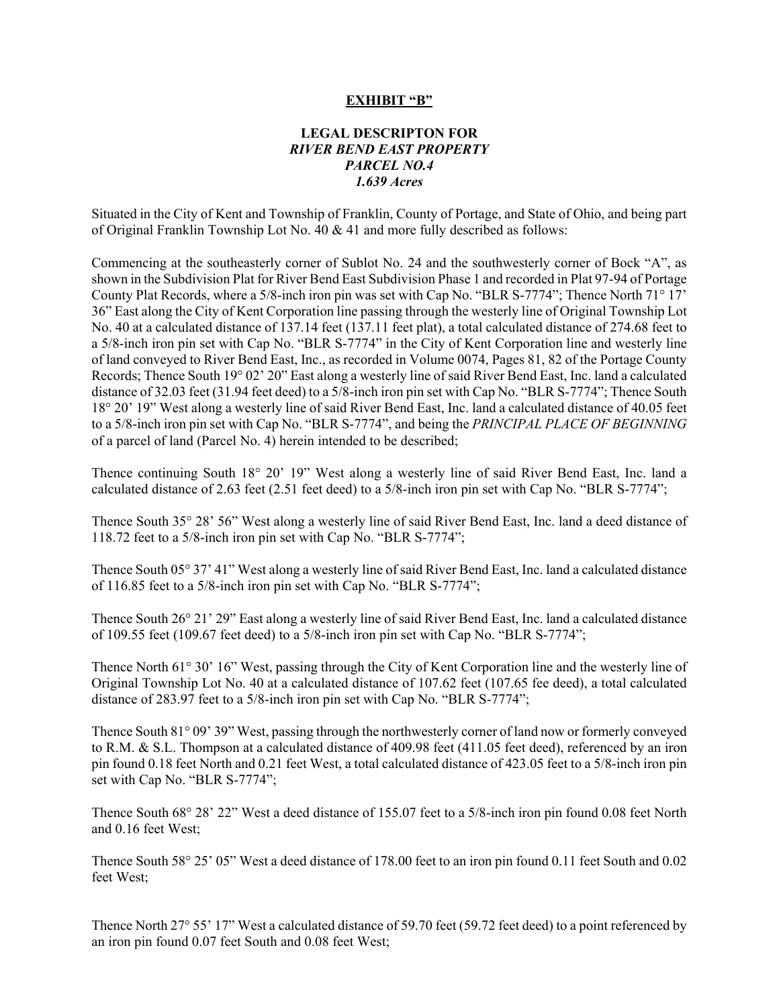#### **EXHIBIT "B"**

### **LEGAL DESCRIPTON FOR** *RIVER BEND EAST PROPERTY PARCEL NO.4 1.639 Acres*

Situated in the City of Kent and Township of Franklin, County of Portage, and State of Ohio, and being part of Original Franklin Township Lot No. 40 & 41 and more fully described as follows:

Commencing at the southeasterly corner of Sublot No. 24 and the southwesterly corner of Bock "A", as shown in the Subdivision Plat for River Bend East Subdivision Phase 1 and recorded in Plat 97-94 of Portage County Plat Records, where a 5/8-inch iron pin was set with Cap No. "BLR S-7774"; Thence North 71° 17' 36" East along the City of Kent Corporation line passing through the westerly line of Original Township Lot No. 40 at a calculated distance of 137.14 feet (137.11 feet plat), a total calculated distance of 274.68 feet to a 5/8-inch iron pin set with Cap No. "BLR S-7774" in the City of Kent Corporation line and westerly line of land conveyed to River Bend East, Inc., as recorded in Volume 0074, Pages 81, 82 of the Portage County Records; Thence South 19° 02' 20" East along a westerly line of said River Bend East, Inc. land a calculated distance of 32.03 feet (31.94 feet deed) to a 5/8-inch iron pin set with Cap No. "BLR S-7774"; Thence South 18° 20' 19" West along a westerly line of said River Bend East, Inc. land a calculated distance of 40.05 feet to a 5/8-inch iron pin set with Cap No. "BLR S-7774", and being the *PRINCIPAL PLACE OF BEGINNING* of a parcel of land (Parcel No. 4) herein intended to be described;

Thence continuing South 18° 20' 19" West along a westerly line of said River Bend East, Inc. land a calculated distance of 2.63 feet (2.51 feet deed) to a 5/8-inch iron pin set with Cap No. "BLR S-7774";

Thence South 35° 28' 56" West along a westerly line of said River Bend East, Inc. land a deed distance of 118.72 feet to a 5/8-inch iron pin set with Cap No. "BLR S-7774";

Thence South 05° 37' 41" West along a westerly line of said River Bend East, Inc. land a calculated distance of 116.85 feet to a 5/8-inch iron pin set with Cap No. "BLR S-7774";

Thence South 26° 21' 29" East along a westerly line of said River Bend East, Inc. land a calculated distance of 109.55 feet (109.67 feet deed) to a 5/8-inch iron pin set with Cap No. "BLR S-7774";

Thence North 61° 30' 16" West, passing through the City of Kent Corporation line and the westerly line of Original Township Lot No. 40 at a calculated distance of 107.62 feet (107.65 fee deed), a total calculated distance of 283.97 feet to a 5/8-inch iron pin set with Cap No. "BLR S-7774";

Thence South 81° 09' 39" West, passing through the northwesterly corner of land now or formerly conveyed to R.M. & S.L. Thompson at a calculated distance of 409.98 feet (411.05 feet deed), referenced by an iron pin found 0.18 feet North and 0.21 feet West, a total calculated distance of 423.05 feet to a 5/8-inch iron pin set with Cap No. "BLR S-7774";

Thence South 68° 28' 22" West a deed distance of 155.07 feet to a 5/8-inch iron pin found 0.08 feet North and 0.16 feet West;

Thence South 58° 25' 05" West a deed distance of 178.00 feet to an iron pin found 0.11 feet South and 0.02 feet West;

Thence North 27° 55' 17" West a calculated distance of 59.70 feet (59.72 feet deed) to a point referenced by an iron pin found 0.07 feet South and 0.08 feet West;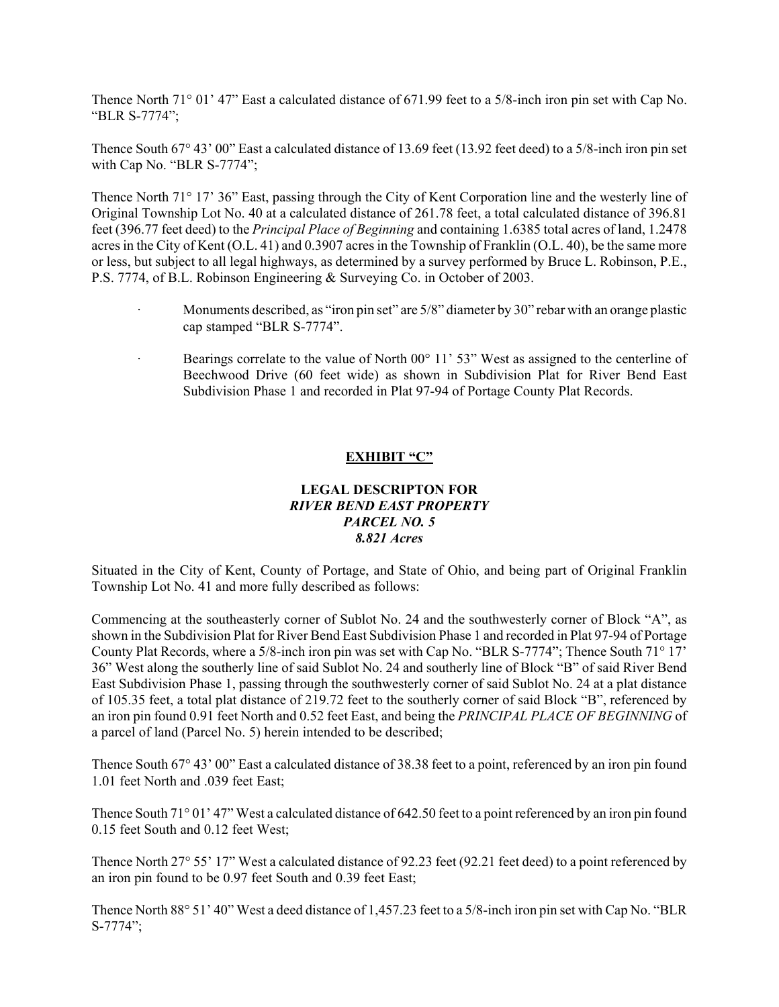Thence North 71° 01' 47" East a calculated distance of 671.99 feet to a 5/8-inch iron pin set with Cap No. "BLR S-7774";

Thence South 67° 43' 00" East a calculated distance of 13.69 feet (13.92 feet deed) to a 5/8-inch iron pin set with Cap No. "BLR S-7774";

Thence North 71° 17' 36" East, passing through the City of Kent Corporation line and the westerly line of Original Township Lot No. 40 at a calculated distance of 261.78 feet, a total calculated distance of 396.81 feet (396.77 feet deed) to the *Principal Place of Beginning* and containing 1.6385 total acres of land, 1.2478 acres in the City of Kent (O.L. 41) and 0.3907 acres in the Township of Franklin (O.L. 40), be the same more or less, but subject to all legal highways, as determined by a survey performed by Bruce L. Robinson, P.E., P.S. 7774, of B.L. Robinson Engineering & Surveying Co. in October of 2003.

- Monuments described, as "iron pin set" are  $5/8$ " diameter by 30" rebar with an orange plastic cap stamped "BLR S-7774".
- Bearings correlate to the value of North  $00^{\circ}$  11' 53" West as assigned to the centerline of Beechwood Drive (60 feet wide) as shown in Subdivision Plat for River Bend East Subdivision Phase 1 and recorded in Plat 97-94 of Portage County Plat Records.

#### **EXHIBIT "C"**

#### **LEGAL DESCRIPTON FOR** *RIVER BEND EAST PROPERTY PARCEL NO. 5 8.821 Acres*

Situated in the City of Kent, County of Portage, and State of Ohio, and being part of Original Franklin Township Lot No. 41 and more fully described as follows:

Commencing at the southeasterly corner of Sublot No. 24 and the southwesterly corner of Block "A", as shown in the Subdivision Plat for River Bend East Subdivision Phase 1 and recorded in Plat 97-94 of Portage County Plat Records, where a 5/8-inch iron pin was set with Cap No. "BLR S-7774"; Thence South 71° 17' 36" West along the southerly line of said Sublot No. 24 and southerly line of Block "B" of said River Bend East Subdivision Phase 1, passing through the southwesterly corner of said Sublot No. 24 at a plat distance of 105.35 feet, a total plat distance of 219.72 feet to the southerly corner of said Block "B", referenced by an iron pin found 0.91 feet North and 0.52 feet East, and being the *PRINCIPAL PLACE OF BEGINNING* of a parcel of land (Parcel No. 5) herein intended to be described;

Thence South 67° 43' 00" East a calculated distance of 38.38 feet to a point, referenced by an iron pin found 1.01 feet North and .039 feet East;

Thence South 71° 01' 47" West a calculated distance of 642.50 feet to a point referenced by an iron pin found 0.15 feet South and 0.12 feet West;

Thence North 27° 55' 17" West a calculated distance of 92.23 feet (92.21 feet deed) to a point referenced by an iron pin found to be 0.97 feet South and 0.39 feet East;

Thence North 88° 51' 40" West a deed distance of 1,457.23 feet to a 5/8-inch iron pin set with Cap No. "BLR S-7774";